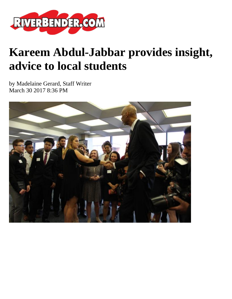

## **Kareem Abdul-Jabbar provides insight, advice to local students**

by Madelaine Gerard, Staff Writer March 30 2017 8:36 PM

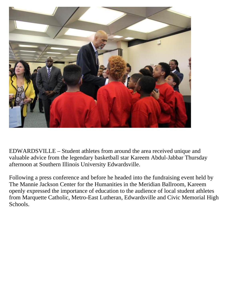

EDWARDSVILLE – Student athletes from around the area received unique and valuable advice from the legendary basketball star Kareem Abdul-Jabbar Thursday afternoon at Southern Illinois University Edwardsville.

Following a press conference and before he headed into the fundraising event held by The Mannie Jackson Center for the Humanities in the Meridian Ballroom, Kareem openly expressed the importance of education to the audience of local student athletes from Marquette Catholic, Metro-East Lutheran, Edwardsville and Civic Memorial High Schools.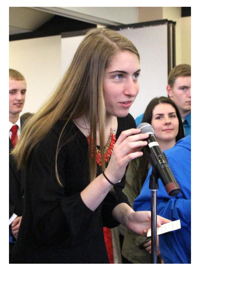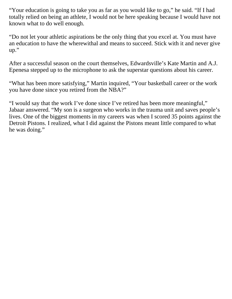"Your education is going to take you as far as you would like to go," he said. "If I had totally relied on being an athlete, I would not be here speaking because I would have not known what to do well enough.

"Do not let your athletic aspirations be the only thing that you excel at. You must have an education to have the wherewithal and means to succeed. Stick with it and never give up."

After a successful season on the court themselves, Edwardsville's Kate Martin and A.J. Epenesa stepped up to the microphone to ask the superstar questions about his career.

"What has been more satisfying," Martin inquired, "Your basketball career or the work you have done since you retired from the NBA?"

"I would say that the work I've done since I've retired has been more meaningful," Jabaar answered. "My son is a surgeon who works in the trauma unit and saves people's lives. One of the biggest moments in my careers was when I scored 35 points against the Detroit Pistons. I realized, what I did against the Pistons meant little compared to what he was doing."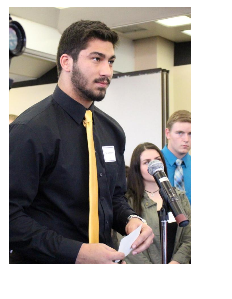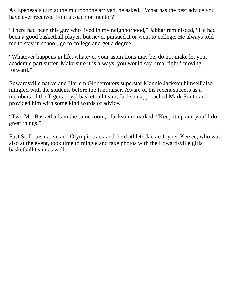As Epenesa's turn at the microphone arrived, he asked, "What has the best advice you have ever received from a coach or mentor?"

"There had been this guy who lived in my neighborhood," Jabbar reminisced, "He had been a good basketball player, but never pursued it or went to college. He always told me to stay in school, go to college and get a degree.

"Whatever happens in life, whatever your aspirations may be, do not make let your academic part suffer. Make sure it is always, you would say, 'real tight,' moving forward."

Edwardsville native and Harlem Globetrotters superstar Mannie Jackson himself also mingled with the students before the fundraiser. Aware of his recent success as a members of the Tigers boys' basketball team, Jackson approached Mark Smith and provided him with some kind words of advice.

"Two Mr. Basketballs in the same room," Jackson remarked. "Keep it up and you'll do great things."

East St. Louis native and Olympic track and field athlete Jackie Joyner-Kersee, who was also at the event, took time to mingle and take photos with the Edwardsville girls' basketball team as well.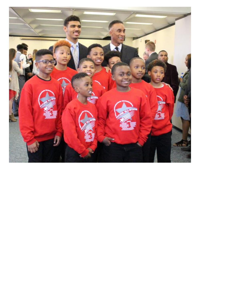